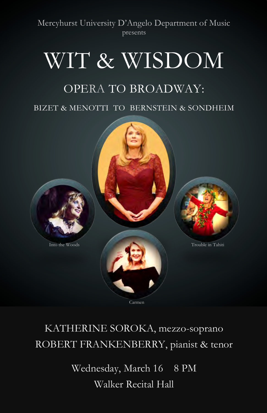Mercyhurst University D'Angelo Department of Music presents

# WIT & WISDOM

# OPERA TO BROADWAY:

BIZET & MENOTTI TO BERNSTEIN & SONDHEIM



Carmen

# KATHERINE SOROKA, mezzo-soprano ROBERT FRANKENBERRY, pianist & tenor

Wednesday, March 16 8 PM Walker Recital Hall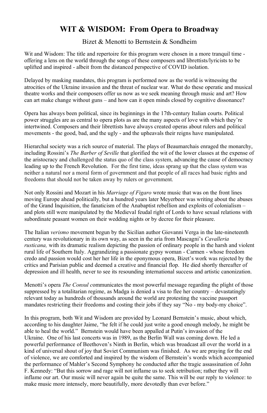# **WIT & WISDOM: From Opera to Broadway**

#### Bizet & Menotti to Bernstein & Sondheim

Wit and Wisdom: The title and repertoire for this program were chosen in a more tranquil time offering a lens on the world through the songs of these composers and librettists/lyricists to be uplifted and inspired - albeit from the distanced perspective of COVID isolation.

Delayed by masking mandates, this program is performed now as the world is witnessing the atrocities of the Ukraine invasion and the threat of nuclear war. What do these operatic and musical theatre works and their composers offer us now as we seek meaning through music and art? How can art make change without guns – and how can it open minds closed by cognitive dissonance?

Opera has always been political, since its beginnings in the 17th-century Italian courts. Political power struggles are as central to opera plots as are the many aspects of love with which they're intertwined. Composers and their librettists have always created operas about rulers and political movements - the good, bad, and the ugly - and the upheavals their reigns have manipulated.

Hierarchal society was a rich source of material. The plays of Beaumarchais enraged the monarchy, including Rossini's *The Barber of Seville* that glorified the wit of the lower classes at the expense of the aristocracy and challenged the status quo of the class system, advancing the cause of democracy leading up to the French Revolution. For the first time, ideas sprang up that the class system was neither a natural nor a moral form of government and that people of all races had basic rights and freedoms that should not be taken away by rulers or government.

Not only Rossini and Mozart in his *Marriage of Figaro* wrote music that was on the front lines moving Europe ahead politically, but a hundred years later Meyerbeer was writing about the abuses of the Grand Inquisition, the fanaticism of the Anabaptist rebellion and exploits of colonialism – and plots still were manipulated by the Medieval feudal right of Lords to have sexual relations with subordinate peasant women on their wedding nights or by decree for their pleasure.

The Italian *verismo* movement begun by the Sicilian author Giovanni Verga in the late-nineteenth century was revolutionary in its own way, as seen in the aria from Mascagni's *Cavalleria rusticana,* with its dramatic realism depicting the passion of ordinary people in the harsh and violent rural life of Southern Italy. Aggrandizing a passionate gypsy woman - Carmen - whose freedom credo and passion would cost her her life in the eponymous opera, Bizet's work was rejected by the critics and Parisian public and deemed a creative and financial flop. He died shortly thereafter of depression and ill health, never to see its resounding international success and artistic canonization.

Menotti's opera *The Consul c*ommunicates the most powerful message regarding the plight of those suppressed by a totalitarian regime, as Madga is denied a visa to flee her country – devastatingly relevant today as hundreds of thousands around the world are protesting the vaccine passport mandates restricting their freedoms and costing their jobs if they say "No - my body-my choice".

In this program, both Wit and Wisdom are provided by Leonard Bernstein's music, about which, according to his daughter Jaime, "he felt if he could just write a good enough melody, he might be able to heal the world." Bernstein would have been appalled at Putin's invasion of the Ukraine. One of his last concerts was in 1989, as the Berlin Wall was coming down. He led a powerful performance of Beethoven's Ninth in Berlin, which was broadcast all over the world in a kind of universal shout of joy that Soviet Communism was finished. As we are praying for the end of violence, we are comforted and inspired by the wisdom of Bernstein's words which accompanied the performance of Mahler's Second Symphony he conducted after the tragic assassination of John F. Kennedy: "But this sorrow and rage will not inflame us to seek retribution; rather they will inflame our art. Our music will never again be quite the same. This will be our reply to violence: to make music more intensely, more beautifully, more devotedly than ever before."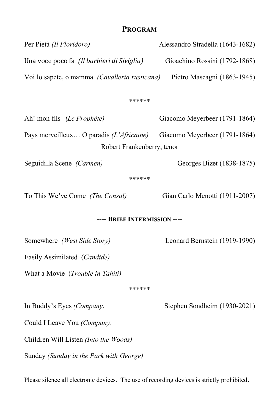# **PROGRAM**

| Alessandro Stradella (1643-1682)                                             |  |
|------------------------------------------------------------------------------|--|
| Gioachino Rossini (1792-1868)                                                |  |
| Voi lo sapete, o mamma (Cavalleria rusticana)<br>Pietro Mascagni (1863-1945) |  |
| ******                                                                       |  |
| Giacomo Meyerbeer (1791-1864)                                                |  |
| Pays merveilleux O paradis (L'Africaine)<br>Giacomo Meyerbeer (1791-1864)    |  |
| Robert Frankenberry, tenor                                                   |  |
| Georges Bizet (1838-1875)                                                    |  |
|                                                                              |  |
| Gian Carlo Menotti (1911-2007)                                               |  |
| ---- BRIEF INTERMISSION ----                                                 |  |
| Leonard Bernstein (1919-1990)                                                |  |
|                                                                              |  |
|                                                                              |  |
| ******                                                                       |  |
| Stephen Sondheim (1930-2021)                                                 |  |
|                                                                              |  |
|                                                                              |  |

Children Will Listen *(Into the Woods)* 

 Sunday *(Sunday in the Park with George)* 

Please silence all electronic devices. The use of recording devices is strictly prohibited.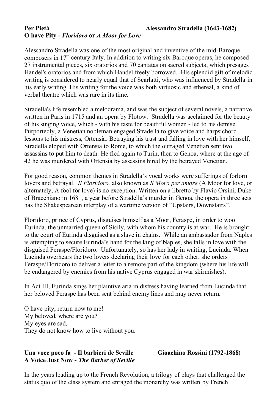# Per Pietà  **O have Pity** *- Floridoro* **or** *A Moor for Love*

 Alessandro Stradella was one of the most original and inventive of the mid-Baroque composers in  $17<sup>th</sup>$  century Italy. In addition to writing six Baroque operas, he composed 27 instrumental pieces, six oratorios and 70 cantatas on sacred subjects, which presages Handel's oratorios and from which Handel freely borrowed. His splendid gift of melodic writing is considered to nearly equal that of Scarlatti, who was influenced by Stradella in his early writing. His writing for the voice was both virtuosic and ethereal, a kind of verbal theatre which was rare in its time.

 Stradella's life resembled a melodrama, and was the subject of several novels, a narrative written in Paris in 1715 and an opera by Flotow. Stradella was acclaimed for the beauty of his singing voice, which - with his taste for beautiful women - led to his demise. Purportedly, a Venetian nobleman engaged Stradella to give voice and harpsichord lessons to his mistress, Ortensia. Betraying his trust and falling in love with her himself, Stradella eloped with Ortensia to Rome, to which the outraged Venetian sent two assassins to put him to death. He fled again to Turin, then to Genoa, where at the age of 42 he was murdered with Ortensia by assassins hired by the betrayed Venetian.

 For good reason, common themes in Stradella's vocal works were sufferings of forlorn  lovers and betrayal. *Il Floridoro,* also known as *Il Moro per amore* (A Moor for love, or alternately, A fool for love) is no exception. Written on a libretto by Flavio Orsini, Duke of Bracchiano in 1681, a year before Stradella's murder in Genoa, the opera in three acts has the Shakespearean interplay of a wartime version of "Upstairs, Downstairs".

 Floridoro, prince of Cyprus, disguises himself as a Moor, Feraspe, in order to woo Eurinda, the unmarried queen of Sicily, with whom his country is at war. He is brought to the court of Eurinda disguised as a slave in chains. While an ambassador from Naples is attempting to secure Eurinda's hand for the king of Naples, she falls in love with the disguised Feraspe/Floridoro. Unfortunately, so has her lady in waiting, Lucinda. When Lucinda overhears the two lovers declaring their love for each other, she orders Feraspe/Floridoro to deliver a letter to a remote part of the kingdom (where his life will be endangered by enemies from his native Cyprus engaged in war skirmishes).

 In Act III, Eurinda sings her plaintive aria in distress having learned from Lucinda that her beloved Feraspe has been sent behind enemy lines and may never return.

 O have pity, return now to me! My beloved, where are you? My eyes are sad, They do not know how to live without you.

#### **Una voce poco fa - Il barbieri de Seville Gioachino Rossini (1792-1868) A Voice Just Now** *- The Barber of Seville*

 In the years leading up to the French Revolution, a trilogy of plays that challenged the status quo of the class system and enraged the monarchy was written by French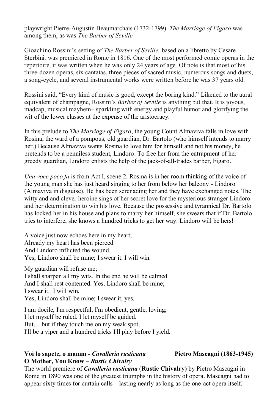playwright Pierre-Augustin Beaumarchais (1732-1799). *The Marriage of Figaro* was among them, as was *The Barber of Seville.* 

 Gioachino Rossini's setting of *The Barber of Seville,* based on a libretto by Cesare Sterbini*,* was premiered in Rome in 1816. One of the most performed comic operas in the repertoire, it was written when he was only 24 years of age. Of note is that most of his three-dozen operas, six cantatas, three pieces of sacred music, numerous songs and duets, a song-cycle, and several instrumental works were written before he was 37 years old.

 Rossini said, "Every kind of music is good, except the boring kind." Likened to the aural equivalent of champagne, Rossini's *Barber of Seville* is anything but that. It is joyous, madcap, musical mayhem– sparkling with energy and playful humor and glorifying the wit of the lower classes at the expense of the aristocracy.

 In this prelude to *The Marriage of Figaro*, the young Count Almaviva falls in love with Rosina, the ward of a pompous, old guardian, Dr. Bartolo (who himself intends to marry her.) Because Almaviva wants Rosina to love him for himself and not his money, he pretends to be a penniless student, Lindoro. To free her from the entrapment of her greedy guardian, Lindoro enlists the help of the jack-of-all-trades barber, Figaro.

*Una voce poco fa* is from Act I, scene 2. Rosina is in her room thinking of the voice of the young man she has just heard singing to her from below her balcony - Lindoro (Almaviva in disguise). He has been serenading her and they have exchanged notes. The witty and and clever heroine sings of her secret love for the mysterious stranger Lindoro and her determination to win his love. Because the possessive and tyrannical Dr. Bartolo has locked her in his house and plans to marry her himself, she swears that if Dr. Bartolo tries to interfere, she knows a hundred tricks to get her way. Lindoro will be hers!

 A voice just now echoes here in my heart; Already my heart has been pierced And Lindoro inflicted the wound. Yes, Lindoro shall be mine; I swear it. I will win.

 My guardian will refuse me; I shall sharpen all my wits. In the end he will be calmed And I shall rest contented. Yes, Lindoro shall be mine; I swear it. I will win. Yes, Lindoro shall be mine; I swear it, yes.

 I am docile, I'm respectful, I'm obedient, gentle, loving; I let myself be ruled. I let myself be guided. But… but if they touch me on my weak spot, I'll be a viper and a hundred tricks I'll play before I yield.

# **Voi lo sapete, o mamm -** *Cavalleria rusticana* **Pietro Mascagni (1863-1945) O Mother, You Know** *– Rustic Chivalry*

 The world premiere of *Cavalleria rusticana* (**Rustic Chivalry)** by Pietro Mascagni in Rome in 1890 was one of the greatest triumphs in the history of opera. Mascagni had to appear sixty times for curtain calls – lasting nearly as long as the one-act opera itself.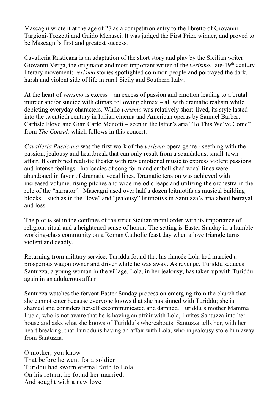Mascagni wrote it at the age of 27 as a competition entry to the libretto of Giovanni Targioni-Tozzetti and Guido Menasci. It was judged the First Prize winner, and proved to be Mascagni's first and greatest success.

 Cavalleria Rusticana is an adaptation of the short story and play by the Sicilian writer Giovanni Verga, the originator and most important writer of the *verismo*, late-19<sup>th</sup> century literary movement; *verismo* stories spotlighted common people and portrayed the dark, harsh and violent side of life in rural Sicily and Southern Italy.

 At the heart of *verismo* is excess – an excess of passion and emotion leading to a brutal murder and/or suicide with climax following climax – all with dramatic realism while into the twentieth century in Italian cinema and American operas by Samuel Barber, Carlisle Floyd and Gian Carlo Menotti – seen in the latter's aria "To This We've Come" from *The Consul*, which follows in this concert. Mascagni's first and greatest success.<br>
walleria Rusticana is an adaptation of t<br>
ovanni Verga, the originator and most<br>
erary movement; *verismo* stories spotli<br>
rsh and violent side of life in rural Sicil<br>
the heart of and/or suicide with cling<br>the everyday characters.<br>the twentieth century in It<br>explod and Gian Carlo<br>the Consul, which follow<br>the Consul, which follow<br>the Rusticana was the depicting everyday characters. While *verismo* was relatively short-lived, its style lasted

 *Cavalleria Rusticana* was the first work of the *verismo* opera genre - seething with the passion, jealousy and heartbreak that can only result from a scandalous, small-town affair. It combined realistic theater with raw emotional music to express violent passions and intense feelings. Intricacies of song form and embellished vocal lines were abandoned in favor of dramatic vocal lines. Dramatic tension was achieved with increased volume, rising pitches and wide melodic leaps and utilizing the orchestra in the role of the "narrator". Mascagni used over half a dozen leitmotifs as musical building blocks – such as in the "love" and "jealousy" leitmotivs in Santuzza's aria about betrayal and loss

and loss.<br>The plot is set in the confines of the strict Sicilian moral order with its importance of religion, ritual and a heightened sense of honor. The setting is Easter Sunday in a humble working-class community on a Roman Catholic feast day when a love triangle turns violent and deadly.

 Returning from military service, Turiddu found that his fiancée Lola had married a prosperous wagon owner and driver while he was away. As revenge, Turiddu seduces Santuzza, a young woman in the village. Lola, in her jealousy, has taken up with Turiddu again in an adulterous affair.

 Santuzza watches the fervent Easter Sunday procession emerging from the church that she cannot enter because everyone knows that she has sinned with Turiddu; she is shamed and considers herself excommunicated and damned. Turiddu's mother Mamma Lucia, who is not aware that he is having an affair with Lola, invites Santuzza into her house and asks what she knows of Turiddu's whereabouts. Santuzza tells her, with her heart breaking, that Turiddu is having an affair with Lola, who in jealousy stole him away from Santuzza.

 O mother, you know That before he went for a soldier Turiddu had sworn eternal faith to Lola. On his return, he found her married, And sought with a new love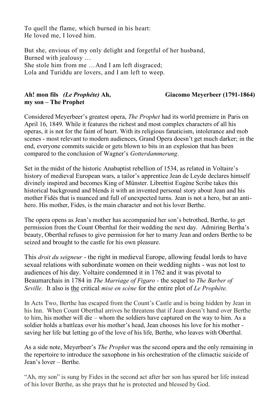To quell the flame, which burned in his heart: He loved me, I loved him.

 But she, envious of my only delight and forgetful of her husband, She stole him from me …And I am left disgraced; Lola and Turiddu are lovers, and I am left to weep. Burned with jealousy …

# **my son – The Prophet**

#### **Ah! mon fils** *(Le Prophéte)* **Ah, Giacomo Meyerbeer (1791-1864)**

 Considered Meyerbeer's greatest opera, *The Prophet* had its world premiere in Paris on April 16, 1849. While it features the richest and most complex characters of all his operas, it is not for the faint of heart. With its religious fanaticism, intolerance and mob scenes - most relevant to modern audiences, Grand Opera doesn't get much darker; in the end, everyone commits suicide or gets blown to bits in an explosion that has been compared to the conclusion of Wagner's *Gotterdammerung*.

 Set in the midst of the historic Anabaptist rebellion of 1534, as related in Voltaire's history of medieval European wars, a tailor's apprentice Jean de Leyde declares himself divinely inspired and becomes King of Münster. Librettist Eugène Scribe takes this historical background and blends it with an invented personal story about Jean and his mother Fidès that is nuanced and full of unexpected turns. Jean is not a hero, but an anti-hero. His mother, Fides, is the main character and not his lover Berthe.

 The opera opens as Jean's mother has accompanied her son's betrothed, Berthe, to get permission from the Count Oberthal for their wedding the next day. Admiring Bertha's beauty, Oberthal refuses to give permission for her to marry Jean and orders Berthe to be seized and brought to the castle for his own pleasure.

 This *droit du seigneur* - the right in medieval Europe, allowing feudal lords to have sexual relations with subordinate women on their wedding nights - was not lost to audiences of his day. Voltaire condemned it in 1762 and it was pivotal to  Beaumarchais in 1784 in *The Marriage of Figaro -* the sequel to *The Barber of Seville.* It also is the critical *mise en scène* for the entire plot of *Le Prophète.* 

 In Acts Two, Berthe has escaped from the Count's Castle and is being hidden by Jean in his Inn. When Count Oberthal arrives he threatens that if Jean doesn't hand over Berthe to him, his mother will die – whom the soldiers have captured on the way to him. As a soldier holds a battleax over his mother's head, Jean chooses his love for his mother - saving her life but letting go of the love of his life, Berthe, who leaves with Oberthal.

 As a side note, Meyerbeer's *The Prophet* was the second opera and the only remaining in the repertoire to introduce the saxophone in his orchestration of the climactic suicide of Jean's lover – Berthe.

 "Ah, my son" is sung by Fides in the second act after her son has spared her life instead of his lover Berthe, as she prays that he is protected and blessed by God.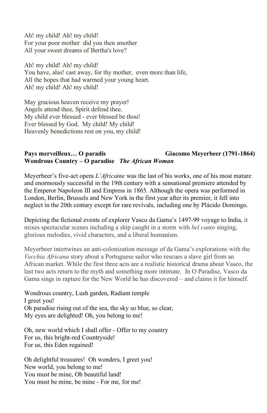Ah! my child! Ah! my child! For your poor mother did you then smother All your sweet dreams of Bertha's love?

 Ah! my child! Ah! my child! You have, alas! cast away, for thy mother, even more than life, All the hopes that had warmed your young heart. Ah! my child! Ah! my child!

 May gracious heaven receive my prayer! Angels attend thee, Spirit defend thee. My child ever blessed - ever blessed be thou! Ever blessed by God. My child! My child! Heavenly benedictions rest on you, my child!

# **Pays merveilleux… O paradis Giacomo Meyerbeer (1791-1864) Wondrous Country – O paradise** *The African Woman*

 Meyerbeer's five-act opera *L'Africaine* was the last of his works, one of his most mature and enormously successful in the 19th century with a sensational premiere attended by the Emperor [Napoleon III](https://en.wikipedia.org/wiki/Emperor_Napoleon_III) and Empress in 1865. Although the opera was performed in London, Berlin, Brussels and New York in the first year after its premier, it fell into neglect in the 20th century except for rare revivals, including one b[y Plácido Domingo.](https://en.wikipedia.org/wiki/Pl%C3%A1cido_Domingo)

 Depicting the fictional events of explorer Vasco da Gama's 1497-99 voyage to India, it mixes spectacular scenes including a ship caught in a storm with *bel canto* singing, glorious melodies, vivid characters, and a liberal humanism.

 Meyerbeer intertwines an anti-colonization message of da Gama's explorations with the *Vecchia Africana* story about a Portuguese sailor who rescues a slave girl from an African market. While the first three acts are a realistic historical drama about Vasco, the last two acts return to the myth and something more intimate. In O Paradise, Vasco da Gama sings in rapture for the New World he has discovered – and claims it for himself.

 Wondrous country, Lush garden, Radiant temple I greet you! Oh paradise rising out of the sea, the sky so blue, so clear, My eyes are delighted! Oh, you belong to me!

 Oh, new world which I shall offer - Offer to my country For us, this bright-red Countryside! For us, this Eden regained!

 Oh delightful treasures! Oh wonders, I greet you! New world, you belong to me! You must be mine, Oh beautiful land! You must be mine, be mine - For me, for me!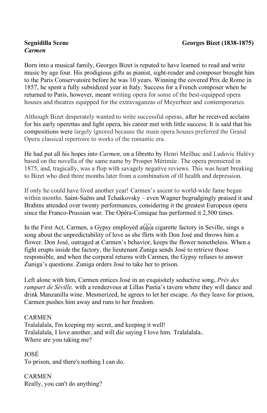# **Seguidilla Scene** *Carmen*

 Born into a musical family, Georges Bizet is reputed to have learned to read and write music by age four. His prodigious gifts as pianist, sight-reader and composer brought him to the Paris Conservatoire before he was 10 years. Winning the covered Prix de Rome in 1857, he spent a fully subsidized year in Italy. Success for a French composer when he returned to Paris, however, meant writing opera for some of the best-equipped opera houses and theatres equipped for the extravaganzas of Meyerbeer and contemporaries. **Sepurdilla Scene Georges Bizet (1838-1875)**<br>**Seguidilla Scene Georges Bizet** is reputed to have learned to read and write music by age four. Ilis prodigious gifts as pianis, is ghi-reader and composer brough himsels b

 Although Bizet desperately wanted to write successful operas, after he received acclaim for his early operettas and light opera, his career met with little success. It is said that his compositions were largely ignored because the main opera houses preferred the Grand Opera classical repertoire to works of the romantic era.

 He had put all his hopes into *Carmen,* on a libretto by Henri Meilhac and Ludovic Halévy based on the novella of the same name by Prosper Mérimée. The opera premiered in 1875, and, tragically, was a flop with savagely negative reviews. This was heart breaking to Bizet who died three months later from a combination of ill health and depression.

 If only he could have lived another year! Carmen's ascent to world-wide fame began within months. Saint-Saëns and Tchaikovsky – even Wagner begrudgingly praised it and Brahms attended over twenty performances, considering it the greatest European opera since the Franco-Prussian war. The Opéra-Comique has performed it 2,500 times.

In the First Act, Carmen, a Gypsy employed at  $s_F$  a cigarette factory in Seville, sings a song about the unpredictability of love as she flirts with Don José and throws him a flower. Don José, outraged at Carmen's behavior, keeps the flower nonetheless. When a fight erupts inside the factory, the lieutenant Zuniga sends José to retrieve those responsible, and when the corporal returns with Carmen, the Gypsy refuses to answer

Zuniga's questions. Zuniga orders José to take her to prison.<br>Left alone with him, Carmen entices José in an exquisitely s<br>*rampart de Séville*, with a rendezvous at Lillas Pastia's taver Left alone with him, Carmen entices José in an exquisitely seductive song, *Près des rampart de Séville,* with a rendezvous at Lillas Pastia's tavern where they will dance and drink Manzanilla wine. Mesmerized, he agrees to let her escape. As they leave for prison, Carmen pushes him away and runs to her freedom.

# **CARMEN**

CARMEN<br>Tralalalala, I'm keeping my secret, and keeping it well! Tralalalala, I love another, and will die saying I love him. Tralalalala.. Where are you taking me?

 To prison, and there's nothing I can do. JOSÉ

 Really, you can't do anything?CARMEN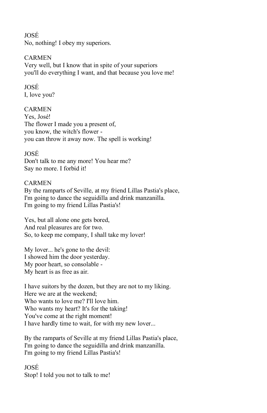#### **IOSÉ**

No, nothing! I obey my superiors.

#### CARMEN

 Very well, but I know that in spite of your superiors you'll do everything I want, and that because you love me!

# JOSÉ

I, love you?

#### CARMEN

 Yes, José! The flower I made you a present of, you know, the witch's flower - you can throw it away now. The spell is working!

#### JOSÉ

 Don't talk to me any more! You hear me? Say no more. I forbid it!

#### CARMEN

 By the ramparts of Seville, at my friend Lillas Pastia's place, I'm going to dance the seguidilla and drink manzanilla. I'm going to my friend Lillas Pastia's!

 Yes, but all alone one gets bored, And real pleasures are for two. So, to keep me company, I shall take my lover!

 My lover... he's gone to the devil: I showed him the door yesterday. My poor heart, so consolable - My heart is as free as air.

 I have suitors by the dozen, but they are not to my liking. Here we are at the weekend; Who wants to love me? I'll love him. You've come at the right moment! I have hardly time to wait, for with my new lover... Who wants my heart? It's for the taking! JOSÉ

 By the ramparts of Seville at my friend Lillas Pastia's place, I'm going to dance the seguidilla and drink manzanilla. I'm going to my friend Lillas Pastia's!

 Stop! I told you not to talk to me!JOSÉ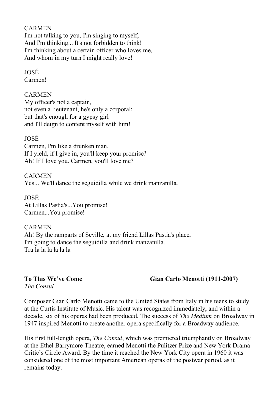#### CARMEN

 I'm not talking to you, I'm singing to myself; And I'm thinking... It's not forbidden to think! I'm thinking about a certain officer who loves me, And whom in my turn I might really love!

#### JOSÉ

Carmen!

#### CARMEN

 My officer's not a captain, not even a lieutenant, he's only a corporal; but that's enough for a gypsy girl and I'll deign to content myself with him!

#### JOSÉ

 Carmen, I'm like a drunken man, If I yield, if I give in, you'll keep your promise? Ah! If I love you. Carmen, you'll love me?

 Yes... We'll dance the seguidilla while we drink manzanilla. CARMEN

 At Lillas Pastia's...You promise! JOSÉ Carmen...You promise!

 Ah! By the ramparts of Seville, at my friend Lillas Pastia's place, I'm going to dance the seguidilla and drink manzanilla. Tra la la la la la la **CARMEN** 

**To This We've Come Gian Carlo Menotti (1911-2007)**

To This We've Come  *The Consul* 

 Composer Gian Carlo Menotti came to the United States from Italy in his teens to study at the Curtis Institute of Music. His talent was recognized immediately, and within a decade, six of his operas had been produced. The success of *The Medium* on Broadway in 1947 inspired Menotti to create another opera specifically for a Broadway audience.

 His first full-length opera, *The Consul*, which was premiered triumphantly on Broadway at the Ethel Barrymore Theatre, earned Menotti the Pulitzer Prize and New York Drama Critic's Circle Award. By the time it reached the New York City opera in 1960 it was considered one of the most important American operas of the postwar period, as it remains today.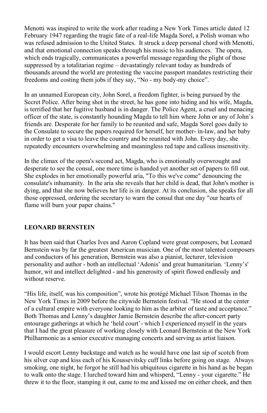Menotti was inspired to write the work after reading a New York Times article dated 12 February 1947 regarding the tragic fate of a real-life Magda Sorel, a Polish woman who was refused admission to the United States. It struck a deep personal chord with Menotti, and that emotional connection speaks through his music to his audiences. The opera, which ends tragically, communicates a powerful message regarding the plight of those suppressed by a totalitarian regime – devastatingly relevant today as hundreds of thousands around the world are protesting the vaccine passport mandates restricting their freedoms and costing them jobs if they say, "No - my body-my choice".

 In an unnamed European city, John Sorel, a freedom fighter, is being pursued by the Secret Police. After being shot in the street, he has gone into hiding and his wife, Magda, is terrified that her fugitive husband is in danger. The Police Agent, a cruel and menacing officer of the state, is constantly hounding Magda to tell him where John or any of John's friends are. Desperate for her family to be reunited and safe, Magda Sorel goes daily to the Consulate to secure the papers required for herself, her mother- in-law, and her baby in order to get a visa to leave the country and be reunited with John. Every day, she repeatedly encounters overwhelming and meaningless red tape and callous insensitivity.

 In the climax of the opera's second act, Magda, who is emotionally overwrought and desperate to see the consul, one more time is handed yet another set of papers to fill out. She explodes in her emotionally powerful aria, "To this we've come" denouncing the consulate's inhumanity. In the aria she reveals that her child is dead, that John's mother is dying, and that she now believes her life is in danger. At its conclusion, she speaks for all those oppressed, ordering the secretary to warn the consul that one day "our hearts of flame will burn your paper chains."

# **LEONARD BERNSTEIN**

 It has been said that Charles Ives and Aaron Copland were great composers, but Leonard Bernstein was by far the greatest American musician. One of the most talented composers and conductors of his generation, Bernstein was also a pianist, lecturer, television personality and author - both an intellectual 'Adonis' and great humanitarian. 'Lenny's' humor, wit and intellect delighted - and his generosity of spirit flowed endlessly and without reserve.

 "His life, itself, was his composition", wrote his protégé Michael Tilson Thomas in the New York Times in 2009 before the citywide Bernstein festival. "He stood at the center of a cultural empire with everyone looking to him as the arbiter of taste and acceptance." Both Thomas and Lenny's daughter Jamie Bernstein describe the after-concert party entourage gatherings at which he 'held court'- which I experienced myself in the years that I had the great pleasure of working closely with Leonard Bernstein at the New York Philharmonic as a senior executive managing concerts and serving as artist liaison.

 I would escort Lenny backstage and watch as he would have one last sip of scotch from his silver cup and kiss each of his Koussevitsky cuff links before going on stage. Always smoking, one night, he forgot he still had his ubiquitous cigarette in his hand as he began to walk onto the stage. I lurched toward him and whisperd, "Lenny - your cigarette." He threw it to the floor, stamping it out, came to me and kissed me on either cheek, and then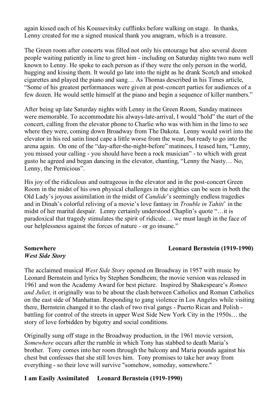again kissed each of his Koussevitsky cufflinks before walking on stage. In thanks, Lenny created for me a signed musical thank you anagram, which is a treasure.

 The Green room after concerts was filled not only his entourage but also several dozen people waiting patiently in line to greet him - including on Saturday nights two nuns well known to Lenny. He spoke to each person as if they were the only person in the world, hugging and kissing them. It would go late into the night as he drank Scotch and smoked cigarettes and played the piano and sang… As Thomas described in his Times article, "Some of his greatest performances were given at post-concert parties for audiences of a few dozen. He would settle himself at the piano and begin a sequence of killer numbers."

 After being up late Saturday nights with Lenny in the Green Room, Sunday matinees were memorable. To accommodate his always-late-arrival, I would "hold" the start of the concert, calling from the elevator phone to Charlie who was with him in the limo to see where they were, coming down Broadway from The Dakota. Lenny would swirl into the elevator in his red satin lined cape a little worse from the wear, but ready to go into the arena again. On one of the "day-after-the-night-before" matinees, I teased him, "Lenny, you missed your calling - you should have been a rock musician" - to which with great gusto he agreed and began dancing in the elevator, chanting, "Lenny the Nasty… No, Lenny, the Pernicious".

 His joy of the ridiculous and outrageous in the elevator and in the post-concert Green Room in the midst of his own physical challenges in the eighties can be seen in both the Old Lady's joyous assimilation in the midst of *Candide*'s seemingly endless tragedies and in Dinah's colorful reliving of a movie's love fantasy in *Trouble in Tahiti*' in the midst of her marital despair. Lenny certainly understood Chaplin's quote "…it is paradoxical that tragedy stimulates the spirit of ridicule… we must laugh in the face of our helplessness against the forces of nature - or go insane."

#### **Somewhere**  *West Side Story*

#### **Somewhere Leonard Bernstein (1919-1990)**

 The acclaimed musical *West Side Story* opened on Broadway in 1957 with music by Leonard Bernstein and lyrics by Stephen Sondheim; the movie version was released in 1961 and won the Academy Award for best picture. Inspired by Shakespeare's *Romeo and Juliet,* it originally was to be about the clash between Catholics and Roman Catholics on the east side of Manhattan. Responding to gang violence in Los Angeles while visiting there, Bernstein changed it to the clash of two rival gangs - Puerto Rican and Polish - battling for control of the streets in upper West Side New York City in the 1950s… the story of love forbidden by bigotry and social conditions*.* 

 Originally sung off stage in the Broadway production, in the 1961 movie version, *Somewhere* occurs after the rumble in which Tony has stabbed to death Maria's brother. Tony comes into her room through the balcony and Maria pounds against his chest but confesses that she still loves him. Tony promises to take her away from everything - so their love will survive "somehow, someday, somewhere."

#### **I am Easily Assimilated Leonard Bernstein (1919-1990)**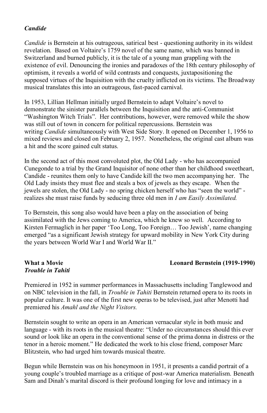#### *Candide*

 *Candide* is Bernstein at his outrageous, satirical best - questioning authority in its wildest revelation. Based on Voltaire's 1759 novel of the same name, which was banned in Switzerland and burned publicly, it is the tale of a young man grappling with the existence of evil. Denouncing the ironies and paradoxes of the 18th century philosophy of optimism, it reveals a world of wild contrasts and conquests, juxtapositioning the supposed virtues of the Inquisition with the cruelty inflicted on its victims. The Broadway musical translates this into an outrageous, fast-paced carnival.

 In 1953, Lillian Hellman initially urged Bernstein to adapt Voltaire's novel to demonstrate the sinister parallels between the Inquisition and the anti-Communist demonstrate the sinister parallels between the Inquisition and the anti-Communist "Washington Witch Trials". Her contributions, however, were removed while the show was still out of town in concern for political repercussions. Bernstein was writing *Candide* simultaneously with West Side Story. It opened on December 1, 1956 to mixed reviews and closed on February 2, 1957. Nonetheless, the original cast album was a hit and the score gained cult status. lation. Based on Voltaire's 17<br>zerland and burned publicly, i<br>zerland and burned publicly, i<br>tence of evil. Denouncing the<br>mism, it reveals a world of wil<br>osed virtues of the Inquisition<br>cical translates this into an outrr

 In the second act of this most convoluted plot, the Old Lady - who has accompanied Cunegonde to a trial by the Grand Inquisitor of none other than her childhood sweetheart, Candide - reunites them only to have Candide kill the two men accompanying her. The Old Lady insists they must flee and steals a box of jewels as they escape. When the jewels are stolen, the Old Lady - no spring chicken herself who has "seen the world" - realizes she must raise funds by seducing three old men in *I am Easily Assimilated.* 

 To Bernstein, this song also would have been a play on the association of being assimilated with the Jews coming to America, which he knew so well. According to Kirsten Fermaglich in her paper 'Too Long, Too Foreign… Too Jewish', name changing emerged "as a significant Jewish strategy for upward mobility in New York City during the years between World War I and World War II."

#### **a** Movie  *Trouble in Tahiti*

#### **What a Movie Leonard Bernstein (1919-1990)**

 Premiered in 1952 in summer performances in Massachusetts including Tanglewood and on NBC television in the fall, in *Trouble in Tahiti* Bernstein returned opera to its roots in popular culture. It was one of the first new operas to be televised, just after Menotti had  premiered his *Amahl and the Night Visitors.* 

 Bernstein sought to write an opera in an American vernacular style in both music and language - with its roots in the musical theatre: "Under no circumstances should this ever sound or look like an opera in the conventional sense of the prima donna in distress or the sound or look like an opera in the conventional sense of the prima donna in distress o<br>tenor in a heroic moment." He dedicated the work to his close friend, composer Marc Blitzstein, who had urged him towards musical theatre.

 young couple's troubled marriage as a critique of post-war America materialism. Beneath Sam and Dinah's marital discord is their profound longing for love and intimacy in aBegun while Bernstein was on his honeymoon in 1951, it presents a candid portrait of a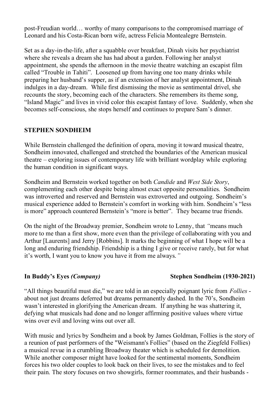post-Freudian world… worthy of many comparisons to the compromised marriage of Leonard and his Costa-Rican born wife, actress Felicia Montealegre Bernstein.

 Set as a day-in-the-life, after a squabble over breakfast, Dinah visits her psychiatrist where she reveals a dream she has had about a garden. Following her analyst appointment, she spends the afternoon in the movie theatre watching an escapist film called "Trouble in Tahiti". Loosened up from having one too many drinks while preparing her husband's supper, as if an extension of her analyst appointment, Dinah indulges in a day-dream. While first dismissing the movie as sentimental drivel, she recounts the story, becoming each of the characters. She remembers its theme song, "Island Magic" and lives in vivid color this escapist fantasy of love. Suddenly, when she becomes self-conscious, she stops herself and continues to prepare Sam's dinner.

# **STEPHEN SONDHEIM**

 While Bernstein challenged the definition of opera, moving it toward musical theatre, Sondheim innovated, challenged and stretched the boundaries of the American musical theatre – exploring issues of contemporary life with brilliant wordplay while exploring the human condition in significant ways.

 Sondheim and Bernstein worked together on both *Candide* and *West Side Story*, complementing each other despite being almost exact opposite personalities. Sondheim was introverted and reserved and Bernstein was extroverted and outgoing. Sondheim's musical experience added to Bernstein's comfort in working with him. Sondheim's "less is more" approach countered Bernstein's "more is better". They became true friends.

 On the night of the Broadway premier, Sondheim wrote to Lenny, that *"*means much more to me than a first show, more even than the privilege of collaborating with you and Arthur [Laurents] and Jerry [Robbins]. It marks the beginning of what I hope will be a long and enduring friendship. Friendship is a thing I give or receive rarely, but for what it's worth, I want you to know you have it from me always.*"*

# In Buddy's Eyes (Company)

# **Stephen Sondheim** (1930-2021)

 "All things beautiful must die," we are told in an especially poignant lyric from *Follies* - about not just dreams deferred but dreams permanently dashed. In the 70's, Sondheim wasn't interested in glorifying the American dream. If anything he was shattering it, defying what musicals had done and no longer affirming positive values where virtue wins over evil and loving wins out over all.

 With music and lyrics by Sondheim and a book by James Goldman, Follies is the story of a reunion of past performers of the "Weismann's Follies" (based on the Ziegfeld Follies) a musical revue in a crumbling Broadway theater which is scheduled for demolition. While another composer might have looked for the sentimental moments, Sondheim forces his two older couples to look back on their lives, to see the mistakes and to feel their pain. The story focuses on two showgirls, former roommates, and their husbands -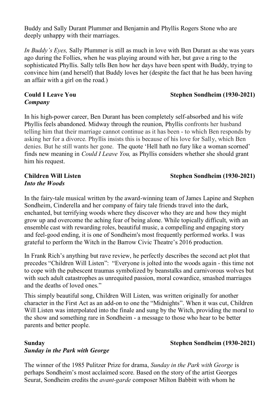Plummer and Benjamin and Phyllis Rogers Stone deeply unhappy with their marriages.

 *In Buddy's Eyes,* Sally Plummer is still as much in love with Ben Durant as she was years ago during the Follies, when he was playing around with her, but gave a ring to the sophisticated Phyllis. Sally tells Ben how her days have been spent with Buddy, trying to convince him (and herself) that Buddy loves her (despite the fact that he has been having an affair with a girl on the road.)

# **Could I Leave You** *Company*

 Phyllis feels abandoned. Midway through the reunion, Phyllis confronts her husband telling him that their marriage cannot continue as it has been - to which Ben responds by asking her for a divorce. Phyllis insists this is because of his love for Sally, which Ben denies. But he still wants her gone. The quote 'Hell hath no fury like a woman scorned'  finds new meaning in *Could I Leave You,* as Phyllis considers whether she should grant him his request. *Eyes,* Sally Plummer is still a<br>the Follies, when he was played Phyllis. Sally tells Ben how<br>im (and herself) that Buddy lo<br>tih a girl on the road.)<br>**eave You**<br>power career, Ben Durant has<br>ls abandoned. Midway through<br>tha with a girl o<br>Leave You<br>y<br>gh-power can<br>eels abandon<br>im that their In his high-power career, Ben Durant has been completely self-absorbed and his wife

# *Into the Woods*

# **Children Will Listen Stephen Sondheim (1930-2021)**

**Stephen Sondheim** (1930-2021)

 In the fairy-tale musical written by the award-winning team of James Lapine and Stephen Sondheim, Cinderella and her company of fairy tale friends travel into the dark, enchanted, but terrifying woods where they discover who they are and how they might grow up and overcome the aching fear of being alone. While topically difficult, with an ensemble cast with rewarding roles, beautiful music, a compelling and engaging story and feel-good ending, it is one of Sondheim's most frequently performed works. I was grateful to perform the Witch in the Barrow Civic Theatre's 2016 production. **Buddy and Sally Durant Plummer and Benjamin and Phyllis Rogers Stone who are<br>Buddy and Sally Durant Plummer is still as much in love with Ben Durant as she was<br>payed other political, when he was playing around with her, b** 

 In Frank Rich's anything but rave review, he perfectly describes the second act plot that grateful to perform the Witch in the Barrow Civic Theatre's 2016 production.<br>In Frank Rich's anything but rave review, he perfectly describes the second act plot that<br>precedes "Children Will Listen": "Everyone is jolted in to cope with the pubescent traumas symbolized by beanstalks and carnivorous wolves but with such adult catastrophes as unrequited passion, moral cowardice, smashed marriages and the deaths of loved ones."

 character in the First Act as an add-on to one the "Midnights". When it was cut, Children Will Listen was interpolated into the finale and sung by the Witch, providing the moral to the show and something rare in Sondheim - a message to those who hear to be better parents and better people. deaths of loved ones."<br>mply beautiful song, Children Will Lis<br>er in the First Act as an add-on to one This simply beautiful song, Children Will Listen, was written originally for another

# *Sunday in the Park with George*

# **Sunday Stephen Sondheim (1930-2021)**

 The winner of the 1985 Pulitzer Prize for drama, *Sunday in the Park with George* is perhaps Sondheim's most acclaimed score. Based on the story of the artist Georges Seurat, Sondheim credits the *avant-garde* composer Milton Babbitt with whom he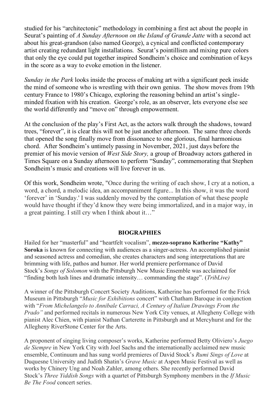studied for his "architectonic" methodology in combining a first act about the people in Seurat's painting of *A Sunday Afternoon on the Island of Grande Jatte* with a second act about his great-grandson (also named George), a cynical and conflicted contemporary artist creating redundant light installations. Seurat's pointillism and mixing pure colors that only the eye could put together inspired Sondheim's choice and combination of keys in the score as a way to evoke emotion in the listener.

 *Sunday in the Park* looks inside the process of making art with a significant peek inside the mind of someone who is wrestling with their own genius. The show moves from 19th century France to 1980's Chicago, exploring the reasoning behind an artist's single-minded fixation with his creation. George's role, as an observer, lets everyone else see

the world differently and "move on" through empowerment.<br>At the conclusion of the play's First Act, as the actors walk t<br>trees. "forever", it is clear this will not be just another aftern At the conclusion of the play's First Act, as the actors walk through the shadows, toward trees, "forever", it is clear this will not be just another afternoon. The same three chords that opened the song finally move from dissonance to one glorious, final harmonious chord. After Sondheim's untimely passing in November, 2021, just days before the premier of his movie version of *West Side Story,* a group of Broadway actors gathered in Times Square on a Sunday afternoon to perform "Sunday", commemorating that Stephen Sondheim's music and creations will live forever in us.

 Of this work, Sondheim wrote, "Once during the writing of each show, I cry at a notion, a word, a chord, a melodic idea, an accompaniment figure... In this show, it was the word 'forever' in 'Sunday.' I was suddenly moved by the contemplation of what these people a great painting. I still cry when I think about it…" forever' in<br>vould have<br>great paint would have thought if they'd know they were being immortalized, and in a major way, in

#### **BIOGRAPHIES**

 "finding both lush lines and dramatic intensity… commanding the stage". (*TribLive)* Hailed for her "masterful" and "heartfelt vocalism", **mezzo-soprano Katherine "Kathy" Soroka** is known for connecting with audiences as a singer-actress. An accomplished pianist and seasoned actress and comedian, she creates characters and song interpretations that are brimming with life, pathos and humor. Her world premiere performance of David Stock's *Songs of Solomon* with the Pittsburgh New Music Ensemble was acclaimed for

Allegheny RiverStone Center for the Arts. Museum in Pittsburgh "*Music for Exhibitions* concert" with Chatham Baroque in conjunction  with "*From Michelangelo to Annibale Carraci, A Century of Italian Drawings From the*  A winner of the Pittsburgh Concert Society Auditions, Katherine has performed for the Frick *Prado"* and performed recitals in numerous New York City venues, at Allegheny College with pianist Alec Chien, with pianist Nathan Carterette in Pittsburgh and at Mercyhurst and for the

 ensemble, Continuum and has sung world premieres of David Stock's *Rumi Sings of Love* at  *Be The Food* concert series. A proponent of singing living composer's works, Katherine performed Betty Oliviero's *Juego de Siempre* in New York City with Joel Sachs and the internationally acclaimed new music Duquesne University and Judith Shatin's *Grave Music* at Aspen Music Festival as well as works by Chinery Ung and Noah Zahler, among others. She recently performed David Stock's *Three Yiddish Songs* with a quartet of Pittsburgh Symphony members in the *If Music*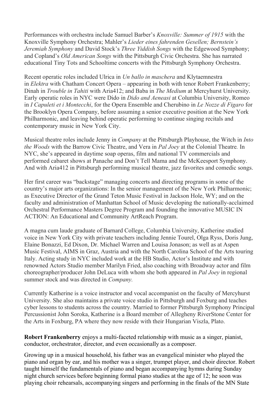Performances with orchestra include Samuel Barber's *Knoxville: Summer of 1915* with the  Knoxville Symphony Orchestra; Mahler's *Lieder eines fahrenden Gesellen; Bernstein's* educational Tiny Tots and Schooltime concerts with the Pittsburgh Symphony Orchestra. *Jeremiah Symphony* and David Stock's *Three Yiddish Songs* with the Edgewood Symphony; and Copland's *Old American Songs* with the Pittsburgh Civic Orchestra. She has narrated

 Early operatic roles in NYC were Dido in *Dido and Aeneasi* at Columbia University, Romeo Recent operatic roles included Ulrica in *Un ballo in maschera* and Klytaemnestra  in *I Capuleti et i Montecchi*, for the Opera Ensemble and Cherubino in *Le Nozze di Figaro* for in *Elektra* with Chatham Concert Opera – appearing in both with tenor Robert Frankenberry; Dinah in *Trouble in Tahiti* with Aria412; and Baba in *The Medium* at Mercyhurst University. the Brooklyn Opera Company, before assuming a senior executive position at the New York Philharmonic, and leaving behind operatic performing to continue singing recitals and contemporary music in New York City.

 Musical theatre roles include Jenny in *Company* at the Pittsburgh Playhouse, the Witch in *Into the Woods* with the Barrow Civic Theatre, and Vera in *Pal Joey* at the Colonial Theatre*.* In NYC, she's appeared in daytime soap operas, film and national TV commercials and performed cabaret shows at Panache and Don't Tell Mama and the McKeesport Symphony. And with Aria412 in Pittsburgh performing musical theatre, jazz favorites and comedic songs.

 as Executive Director of the Grand Teton Music Festival in Jackson Hole, WY; and on the faculty and administration of Manhattan School of Music developing the nationally-acclaimed Her first career was "backstage" managing concerts and directing programs in some of the country's major arts organizations: In the senior management of the New York Philharmonic; Orchestral Performance Masters Degree Program and founding the innovative MUSIC IN ACTION: An Educational and Community ArtReach Program.

  choreographer/producer John DeLuca with whom she both appeared in *Pal Joey* in regional Music Festival, AIMS in Graz, Austria and with the North Carolina School of the Arts touring Italy. Acting study in NYC included work at the HB Studio, Actor's Institute and with A magna cum laude graduate of Barnard College, Columbia University, Katherine studied voice in New York City with private teachers including Jennie Tourel, Olga Ryss, Doris Jung, Elaine Bonazzi, Ed Dixon, Dr. Michael Warren and Louisa Jonason; as well as at Aspen renowned Actors Studio member Marilyn Fried, also coaching with Broadway actor and film summer stock and was directed in *Company.*

 Currently Katherine is a voice instructor and vocal accompanist on the faculty of Mercyhurst University. She also maintains a private voice studio in Pittsburgh and Foxburg and teaches cyber lessons to students across the country. Married to former Pittsburgh Symphony Principal Percussionist John Soroka, Katherine is a Board member of Allegheny RiverStone Center for the Arts in Foxburg, PA where they now reside with their Hungarian Viszla, Plato.

 **Robert Frankenberry** enjoys a multi-faceted relationship with music as a singer, pianist, conductor, orchestrator, director, and even occasionally as a composer.

 night church services before beginning formal piano studies at the age of 12; he soon was piano and organ by ear, and his mother was a singer, trumpet player, and choir director. Robert playing choir rehearsals, accompanying singers and performing in the finals of the MN State Growing up in a musical household, his father was an evangelical minister who played the taught himself the fundamentals of piano and began accompanying hymns during Sunday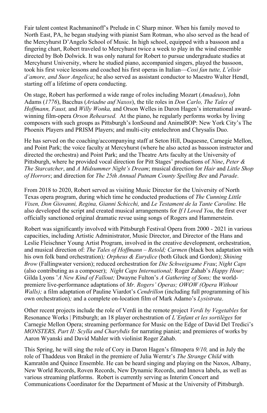Fair talent contest Rachmaninoff's Prelude in C Sharp minor. When his family moved to North East, PA, he began studying with pianist Sam Rotman, who also served as the head of the Mercyhurst D'Angelo School of Music. In high school, equipped with a bassoon and a  took his first voice lessons and coached his first operas in Italian—*Cosi fan tutte, L'elisir*  starting off a lifetime of opera conducting. fingering chart, Robert traveled to Mercyhurst twice a week to play in the wind ensemble directed by Bob Dolwick. It was only natural for Robert to pursue undergraduate studies at Mercyhurst University, where he studied piano, accompanied singers, played the bassoon, *d'amore, and Suor Angelica*; he also served as assistant conductor to Maestro Walter Hendl,

 On stage, Robert has performed a wide range of roles including Mozart (*Amadeus*), John  Adams (*1776*), Bacchus (*Ariadne auf Naxos*), the tile roles in *Don Carlo, The Tales of Hoffmann, Faust,* and *Willy Wonka,* and Orson Welles in Daron Hagen's international award- composers with such groups as Pittsburgh's IonSound and AnimeBOP: New York City's The winning film-opera *Orson Rehearsed.* At the piano, he regularly performs works by living Phoenix Players and PRISM Players; and multi-city entelechron and Chrysalis Duo.

He has served on the coaching/accompanying staff at Seton Hill, Duquesne, Carnegie Mellon, and Point Park; the voice faculty at Mercyhurst (where he also acted as bassoon instructor and directed the orchestra) and Point Park; and the Theatre Arts faculty at the University of Pittsburgh, where he provided vocal direction for Pitt Stages' productions of *Nine*, *Peter & The Starcatcher*, and *A Midsummer Night's Dream*; musical direction for *Hair* and *Little Shop of Horrors*; and direction for *The 25th Annual Putnam County Spelling Bee* and *Parade*.

 From 2018 to 2020, Robert served as visiting Music Director for the University of North  *Vixen, Don Giovanni, Regina, Gianni Schicchi,* and *Le Testament de la Tante Caroline.* He  also developed the script and created musical arrangements for *If I Loved You*, the first ever Texas opera program, during which time he conducted productions of *The Cunning Little*  officially sanctioned original dramatic revue using songs of Rogers and Hammerstein.

 Robert was significantly involved with Pittsburgh Festival Opera from 2000 - 2021 in various capacities, including Artistic Administrator, Music Director, and Director of the Hans and Leslie Fleischner Young Artist Program, involved in the creative development, orchestration, and musical direction of: *The Tales of Hoffmann – Retold; Carmen* (black box adaptation with his own folk band orchestration)*; Orpheus & Eurydice* (both Gluck and Gordon); *Shining Brow* (Fallingwater version); reduced orchestration for *Die Schweigsame Frau*; *Night Caps*  (also contributing as a composer); *Night Caps International;* Roger Zahab's *Happy Hour;*  Gilda Lyons '*A New Kind of Fallout;* Dwayne Fulton's *A Gathering of Sons;* the world- *Walls);* a film adaptation of Pauline Viardot's *Cendrillon* (including full programming of his premiere live-performance adaptations of *Mr. Rogers' Operas; OWOW (Opera Without* own orchestration)*;* and a complete on-location film of Mark Adamo's *Lysistrata*.

 Other recent projects include the role of Verdi in the remote project *Verdi by Vegetables* for Resonance Works | Pittsburgh; an 18 player orchestration of *L'Enfant et les sortilèges* for Carnegie Mellon Opera; streaming performance for Music on the Edge of David Del Tredici's  *MONSTERS, Part II: Scylla and Charybdis* for narrating pianist; and premieres of works by Aaron Wyanski and David Mahler with violinist Roger Zahab.

 This Spring, he will sing the role of Cory in Daron Hagen's filmopera *9/10,* and in July the role of Thaddeus von Brakel in the premiere of Julia Werntz's *The Strange Child* with various streaming platforms. Robert is currently serving as Interim Concert and Kamratōn and Quince Ensemble. He can be heard singing and playing on the Naxos, Albany, New World Records, Roven Records, New Dynamic Records, and Innova labels, as well as Communications Coordinator for the Department of Music at the University of Pittsburgh.